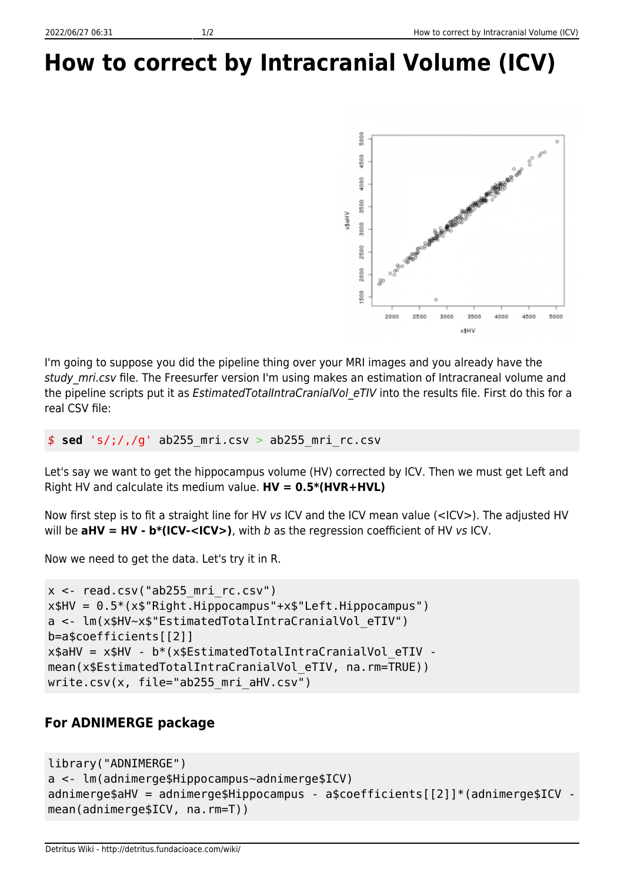## **How to correct by Intracranial Volume (ICV)**



I'm going to suppose you did the pipeline thing over your MRI images and you already have the study mri.csv file. The Freesurfer version I'm using makes an estimation of Intracraneal volume and the pipeline scripts put it as *EstimatedTotalIntraCranialVol\_eTIV* into the results file. First do this for a real CSV file:

*\$* **sed** 's/;/,/g' ab255\_mri.csv > ab255\_mri\_rc.csv

Let's say we want to get the hippocampus volume (HV) corrected by ICV. Then we must get Left and Right HV and calculate its medium value. **HV = 0.5\*(HVR+HVL)**

Now first step is to fit a straight line for HV vs ICV and the ICV mean value (<ICV>). The adjusted HV will be  $a$ HV = HV -  $b^*(ICV - , with b as the regression coefficient of HV vs ICV.$ 

Now we need to get the data. Let's try it in R.

```
x < - read.csv("ab255 mri rc.csv")
x$HV = 0.5*(x$"Right.Hippocampus"+x$"Left.Hippocampus")a <- lm(x$HV~x$"EstimatedTotalIntraCranialVol_eTIV")
b=a$coefficients[[2]]
x$aHV = x$HV - b^*(x)$EstimatedTotalIntraCranialVol eTIV -
mean(x$EstimatedTotalIntraCranialVol eTIV, na.rm=TRUE))
write.csv(x, file="ab255 mri aHV.csv")
```
## **For ADNIMERGE package**

```
library("ADNIMERGE")
a <- lm(adnimerge$Hippocampus~adnimerge$ICV)
adnimerge$aHV = adnimerge$Hippocampus - a$coefficients[[2]]*(adnimerge$ICV -
mean(adnimerge$ICV, na.rm=T))
```